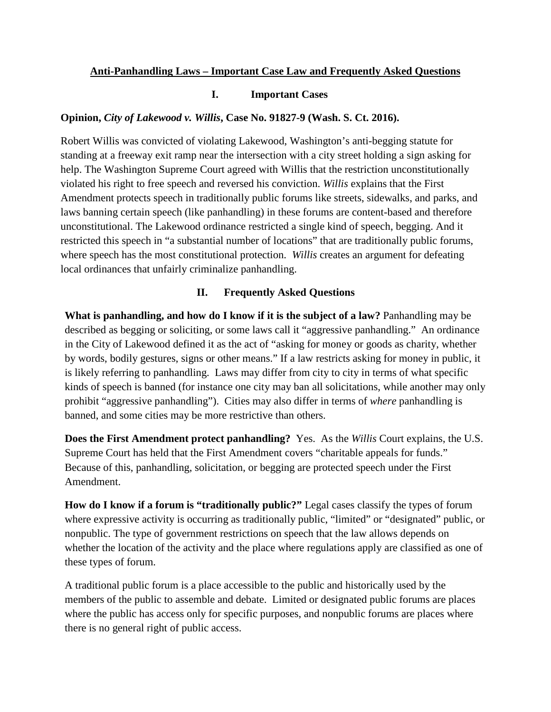## **Anti-Panhandling Laws – Important Case Law and Frequently Asked Questions**

## **I. Important Cases**

## **Opinion,** *City of Lakewood v. Willis***, Case No. 91827-9 (Wash. S. Ct. 2016).**

Robert Willis was convicted of violating Lakewood, Washington's anti-begging statute for standing at a freeway exit ramp near the intersection with a city street holding a sign asking for help. The Washington Supreme Court agreed with Willis that the restriction unconstitutionally violated his right to free speech and reversed his conviction. *Willis* explains that the First Amendment protects speech in traditionally public forums like streets, sidewalks, and parks, and laws banning certain speech (like panhandling) in these forums are content-based and therefore unconstitutional. The Lakewood ordinance restricted a single kind of speech, begging. And it restricted this speech in "a substantial number of locations" that are traditionally public forums, where speech has the most constitutional protection. *Willis* creates an argument for defeating local ordinances that unfairly criminalize panhandling.

## **II. Frequently Asked Questions**

**What is panhandling, and how do I know if it is the subject of a law?** Panhandling may be described as begging or soliciting, or some laws call it "aggressive panhandling." An ordinance in the City of Lakewood defined it as the act of "asking for money or goods as charity, whether by words, bodily gestures, signs or other means." If a law restricts asking for money in public, it is likely referring to panhandling. Laws may differ from city to city in terms of what specific kinds of speech is banned (for instance one city may ban all solicitations, while another may only prohibit "aggressive panhandling"). Cities may also differ in terms of *where* panhandling is banned, and some cities may be more restrictive than others.

**Does the First Amendment protect panhandling?** Yes. As the *Willis* Court explains, the U.S. Supreme Court has held that the First Amendment covers "charitable appeals for funds." Because of this, panhandling, solicitation, or begging are protected speech under the First Amendment.

**How do I know if a forum is "traditionally public?"** Legal cases classify the types of forum where expressive activity is occurring as traditionally public, "limited" or "designated" public, or nonpublic. The type of government restrictions on speech that the law allows depends on whether the location of the activity and the place where regulations apply are classified as one of these types of forum.

A traditional public forum is a place accessible to the public and historically used by the members of the public to assemble and debate. Limited or designated public forums are places where the public has access only for specific purposes, and nonpublic forums are places where there is no general right of public access.